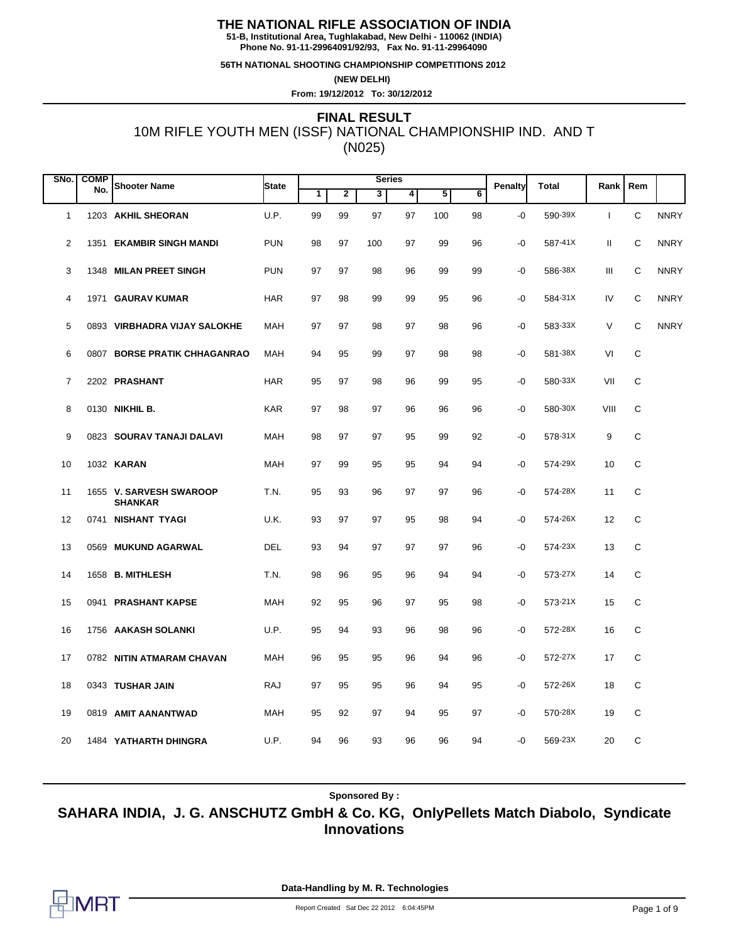**51-B, Institutional Area, Tughlakabad, New Delhi - 110062 (INDIA) Phone No. 91-11-29964091/92/93, Fax No. 91-11-29964090**

**56TH NATIONAL SHOOTING CHAMPIONSHIP COMPETITIONS 2012**

**(NEW DELHI)**

**From: 19/12/2012 To: 30/12/2012**

# 10M RIFLE YOUTH MEN (ISSF) NATIONAL CHAMPIONSHIP IND. AND T (N025) **FINAL RESULT**

| SNo.           | <b>COMP</b> |                                           |              | <b>Series</b> |                |     |    |     |                |         |              |              |     |             |
|----------------|-------------|-------------------------------------------|--------------|---------------|----------------|-----|----|-----|----------------|---------|--------------|--------------|-----|-------------|
|                | No.         | <b>Shooter Name</b>                       | <b>State</b> | 1             | $\overline{2}$ | 3   | 4  | 5   | $\overline{6}$ | Penalty | <b>Total</b> | Rank         | Rem |             |
| 1              |             | 1203 AKHIL SHEORAN                        | U.P.         | 99            | 99             | 97  | 97 | 100 | 98             | $-0$    | 590-39X      | $\mathbf{I}$ | C   | <b>NNRY</b> |
| $\overline{2}$ |             | 1351 EKAMBIR SINGH MANDI                  | <b>PUN</b>   | 98            | 97             | 100 | 97 | 99  | 96             | -0      | 587-41X      | Ш            | C   | <b>NNRY</b> |
| 3              |             | 1348 MILAN PREET SINGH                    | <b>PUN</b>   | 97            | 97             | 98  | 96 | 99  | 99             | -0      | 586-38X      | Ш            | С   | <b>NNRY</b> |
| 4              |             | 1971 GAURAV KUMAR                         | <b>HAR</b>   | 97            | 98             | 99  | 99 | 95  | 96             | -0      | 584-31X      | IV           | C   | <b>NNRY</b> |
| 5              |             | 0893 VIRBHADRA VIJAY SALOKHE              | <b>MAH</b>   | 97            | 97             | 98  | 97 | 98  | 96             | -0      | 583-33X      | V            | C   | <b>NNRY</b> |
| 6              |             | 0807 BORSE PRATIK CHHAGANRAO              | <b>MAH</b>   | 94            | 95             | 99  | 97 | 98  | 98             | -0      | 581-38X      | VI           | C   |             |
| 7              |             | 2202 PRASHANT                             | <b>HAR</b>   | 95            | 97             | 98  | 96 | 99  | 95             | -0      | 580-33X      | VII          | C   |             |
| 8              |             | 0130 <b>NIKHIL B.</b>                     | <b>KAR</b>   | 97            | 98             | 97  | 96 | 96  | 96             | -0      | 580-30X      | VIII         | C   |             |
| 9              |             | 0823 SOURAV TANAJI DALAVI                 | MAH          | 98            | 97             | 97  | 95 | 99  | 92             | -0      | 578-31X      | 9            | С   |             |
| 10             |             | 1032 <b>KARAN</b>                         | MAH          | 97            | 99             | 95  | 95 | 94  | 94             | -0      | 574-29X      | 10           | С   |             |
| 11             |             | 1655 V. SARVESH SWAROOP<br><b>SHANKAR</b> | T.N.         | 95            | 93             | 96  | 97 | 97  | 96             | -0      | 574-28X      | 11           | C   |             |
| 12             |             | 0741 NISHANT TYAGI                        | U.K.         | 93            | 97             | 97  | 95 | 98  | 94             | -0      | 574-26X      | 12           | C   |             |
| 13             |             | 0569 MUKUND AGARWAL                       | DEL          | 93            | 94             | 97  | 97 | 97  | 96             | -0      | 574-23X      | 13           | C   |             |
| 14             |             | 1658 B. MITHLESH                          | T.N.         | 98            | 96             | 95  | 96 | 94  | 94             | -0      | 573-27X      | 14           | C   |             |
| 15             |             | 0941 PRASHANT KAPSE                       | MAH          | 92            | 95             | 96  | 97 | 95  | 98             | -0      | 573-21X      | 15           | С   |             |
| 16             |             | 1756 AAKASH SOLANKI                       | U.P.         | 95            | 94             | 93  | 96 | 98  | 96             | -0      | 572-28X      | 16           | С   |             |
| 17             |             | 0782 NITIN ATMARAM CHAVAN                 | <b>MAH</b>   | 96            | 95             | 95  | 96 | 94  | 96             | -0      | 572-27X      | 17           | C   |             |
| 18             |             | 0343 TUSHAR JAIN                          | RAJ          | 97            | 95             | 95  | 96 | 94  | 95             | -0      | 572-26X      | 18           | C   |             |
| 19             |             | 0819 AMIT AANANTWAD                       | MAH          | 95            | 92             | 97  | 94 | 95  | 97             | -0      | 570-28X      | 19           | С   |             |
| 20             |             | 1484 YATHARTH DHINGRA                     | U.P.         | 94            | 96             | 93  | 96 | 96  | 94             | -0      | 569-23X      | 20           | C   |             |

**Sponsored By :**

**SAHARA INDIA, J. G. ANSCHUTZ GmbH & Co. KG, OnlyPellets Match Diabolo, Syndicate Innovations**

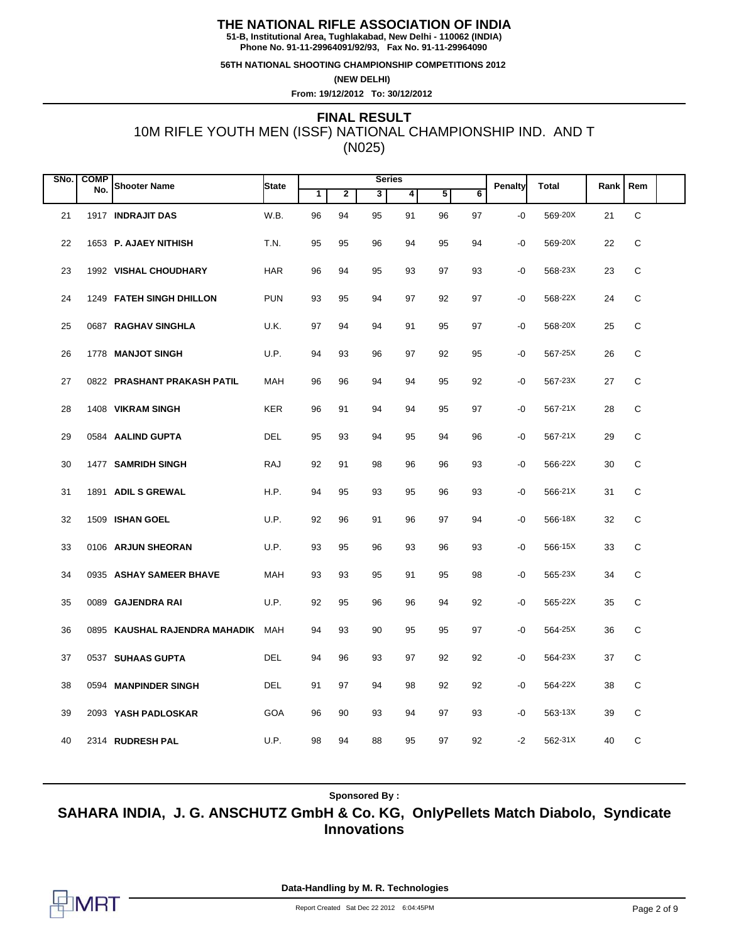**51-B, Institutional Area, Tughlakabad, New Delhi - 110062 (INDIA) Phone No. 91-11-29964091/92/93, Fax No. 91-11-29964090**

**56TH NATIONAL SHOOTING CHAMPIONSHIP COMPETITIONS 2012**

**(NEW DELHI)**

**From: 19/12/2012 To: 30/12/2012**

# 10M RIFLE YOUTH MEN (ISSF) NATIONAL CHAMPIONSHIP IND. AND T (N025) **FINAL RESULT**

| SNo. | <b>COMP</b> |                               |              |    |                | <b>Series</b> |    |    |    |                |              |      |     |  |
|------|-------------|-------------------------------|--------------|----|----------------|---------------|----|----|----|----------------|--------------|------|-----|--|
|      | No.         | <b>Shooter Name</b>           | <b>State</b> | 1  | $\overline{2}$ | 3             | 4  | 5  | 6  | <b>Penalty</b> | <b>Total</b> | Rank | Rem |  |
| 21   |             | 1917 INDRAJIT DAS             | W.B.         | 96 | 94             | 95            | 91 | 96 | 97 | $-0$           | 569-20X      | 21   | C   |  |
| 22   |             | 1653 P. AJAEY NITHISH         | T.N.         | 95 | 95             | 96            | 94 | 95 | 94 | $-0$           | 569-20X      | 22   | C   |  |
| 23   |             | 1992 VISHAL CHOUDHARY         | <b>HAR</b>   | 96 | 94             | 95            | 93 | 97 | 93 | -0             | 568-23X      | 23   | C   |  |
| 24   |             | 1249 FATEH SINGH DHILLON      | <b>PUN</b>   | 93 | 95             | 94            | 97 | 92 | 97 | $-0$           | 568-22X      | 24   | C   |  |
| 25   |             | 0687 RAGHAV SINGHLA           | U.K.         | 97 | 94             | 94            | 91 | 95 | 97 | -0             | 568-20X      | 25   | С   |  |
| 26   |             | 1778 MANJOT SINGH             | U.P.         | 94 | 93             | 96            | 97 | 92 | 95 | $-0$           | 567-25X      | 26   | С   |  |
| 27   |             | 0822 PRASHANT PRAKASH PATIL   | MAH          | 96 | 96             | 94            | 94 | 95 | 92 | -0             | 567-23X      | 27   | C   |  |
| 28   |             | 1408 VIKRAM SINGH             | <b>KER</b>   | 96 | 91             | 94            | 94 | 95 | 97 | -0             | 567-21X      | 28   | C   |  |
| 29   |             | 0584 AALIND GUPTA             | <b>DEL</b>   | 95 | 93             | 94            | 95 | 94 | 96 | $-0$           | 567-21X      | 29   | C   |  |
| 30   |             | 1477 SAMRIDH SINGH            | <b>RAJ</b>   | 92 | 91             | 98            | 96 | 96 | 93 | $-0$           | 566-22X      | 30   | C   |  |
| 31   |             | 1891 ADIL S GREWAL            | H.P.         | 94 | 95             | 93            | 95 | 96 | 93 | $-0$           | 566-21X      | 31   | C   |  |
| 32   |             | 1509 ISHAN GOEL               | U.P.         | 92 | 96             | 91            | 96 | 97 | 94 | $-0$           | 566-18X      | 32   | C   |  |
| 33   |             | 0106 ARJUN SHEORAN            | U.P.         | 93 | 95             | 96            | 93 | 96 | 93 | $-0$           | 566-15X      | 33   | C   |  |
| 34   |             | 0935 ASHAY SAMEER BHAVE       | MAH          | 93 | 93             | 95            | 91 | 95 | 98 | -0             | 565-23X      | 34   | С   |  |
| 35   |             | 0089 GAJENDRA RAI             | U.P.         | 92 | 95             | 96            | 96 | 94 | 92 | $-0$           | 565-22X      | 35   | C   |  |
| 36   |             | 0895 KAUSHAL RAJENDRA MAHADIK | MAH          | 94 | 93             | 90            | 95 | 95 | 97 | -0             | 564-25X      | 36   | C   |  |
| 37   |             | 0537 SUHAAS GUPTA             | <b>DEL</b>   | 94 | 96             | 93            | 97 | 92 | 92 | -0             | 564-23X      | 37   | C   |  |
| 38   |             | 0594 MANPINDER SINGH          | DEL          | 91 | 97             | 94            | 98 | 92 | 92 | -0             | 564-22X      | 38   | С   |  |
| 39   |             | 2093 YASH PADLOSKAR           | GOA          | 96 | 90             | 93            | 94 | 97 | 93 | -0             | 563-13X      | 39   | С   |  |
| 40   |             | 2314 RUDRESH PAL              | U.P.         | 98 | 94             | 88            | 95 | 97 | 92 | $-2$           | 562-31X      | 40   | C   |  |

**Sponsored By :**

**SAHARA INDIA, J. G. ANSCHUTZ GmbH & Co. KG, OnlyPellets Match Diabolo, Syndicate Innovations**

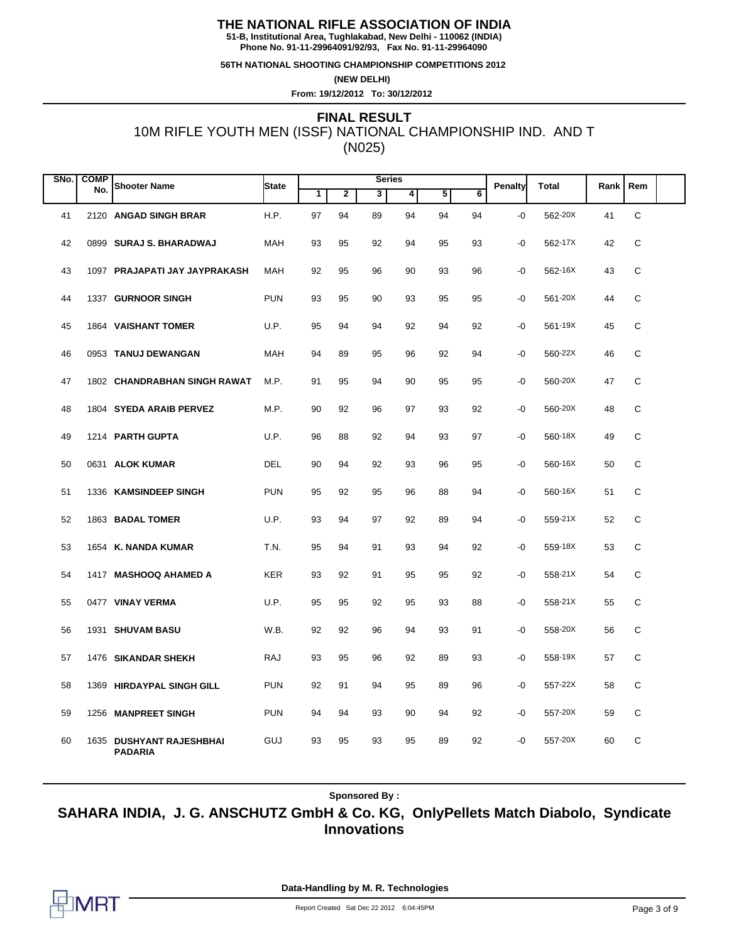**51-B, Institutional Area, Tughlakabad, New Delhi - 110062 (INDIA) Phone No. 91-11-29964091/92/93, Fax No. 91-11-29964090**

**56TH NATIONAL SHOOTING CHAMPIONSHIP COMPETITIONS 2012**

**(NEW DELHI)**

**From: 19/12/2012 To: 30/12/2012**

# 10M RIFLE YOUTH MEN (ISSF) NATIONAL CHAMPIONSHIP IND. AND T (N025) **FINAL RESULT**

| SNo. | <b>COMP</b> |                                            |            |    |    | <b>Series</b> |    |    |    |         | <b>Total</b> | Rank | Rem         |  |
|------|-------------|--------------------------------------------|------------|----|----|---------------|----|----|----|---------|--------------|------|-------------|--|
|      | No.         | <b>Shooter Name</b>                        | State      | 1  | 2  | 3             | 4  | 5  | 6  | Penalty |              |      |             |  |
| 41   |             | 2120 ANGAD SINGH BRAR                      | H.P.       | 97 | 94 | 89            | 94 | 94 | 94 | $-0$    | 562-20X      | 41   | $\mathsf C$ |  |
| 42   |             | 0899 SURAJ S. BHARADWAJ                    | <b>MAH</b> | 93 | 95 | 92            | 94 | 95 | 93 | -0      | 562-17X      | 42   | C           |  |
| 43   |             | 1097 PRAJAPATI JAY JAYPRAKASH              | <b>MAH</b> | 92 | 95 | 96            | 90 | 93 | 96 | -0      | 562-16X      | 43   | C           |  |
| 44   |             | 1337 GURNOOR SINGH                         | <b>PUN</b> | 93 | 95 | 90            | 93 | 95 | 95 | -0      | 561-20X      | 44   | C           |  |
| 45   |             | 1864 VAISHANT TOMER                        | U.P.       | 95 | 94 | 94            | 92 | 94 | 92 | $-0$    | 561-19X      | 45   | C           |  |
| 46   |             | 0953 TANUJ DEWANGAN                        | <b>MAH</b> | 94 | 89 | 95            | 96 | 92 | 94 | -0      | 560-22X      | 46   | C           |  |
| 47   |             | 1802 CHANDRABHAN SINGH RAWAT               | M.P.       | 91 | 95 | 94            | 90 | 95 | 95 | -0      | 560-20X      | 47   | C           |  |
| 48   |             | 1804 SYEDA ARAIB PERVEZ                    | M.P.       | 90 | 92 | 96            | 97 | 93 | 92 | -0      | 560-20X      | 48   | C           |  |
| 49   |             | 1214 PARTH GUPTA                           | U.P.       | 96 | 88 | 92            | 94 | 93 | 97 | -0      | 560-18X      | 49   | C           |  |
| 50   |             | 0631 ALOK KUMAR                            | <b>DEL</b> | 90 | 94 | 92            | 93 | 96 | 95 | $-0$    | 560-16X      | 50   | C           |  |
| 51   |             | 1336 KAMSINDEEP SINGH                      | <b>PUN</b> | 95 | 92 | 95            | 96 | 88 | 94 | -0      | 560-16X      | 51   | C           |  |
| 52   |             | 1863 BADAL TOMER                           | U.P.       | 93 | 94 | 97            | 92 | 89 | 94 | -0      | 559-21X      | 52   | C           |  |
| 53   |             | 1654 K. NANDA KUMAR                        | T.N.       | 95 | 94 | 91            | 93 | 94 | 92 | -0      | 559-18X      | 53   | C           |  |
| 54   |             | 1417 MASHOOQ AHAMED A                      | <b>KER</b> | 93 | 92 | 91            | 95 | 95 | 92 | -0      | 558-21X      | 54   | C           |  |
| 55   |             | 0477 VINAY VERMA                           | U.P.       | 95 | 95 | 92            | 95 | 93 | 88 | -0      | 558-21X      | 55   | C           |  |
| 56   |             | 1931 SHUVAM BASU                           | W.B.       | 92 | 92 | 96            | 94 | 93 | 91 | -0      | 558-20X      | 56   | C           |  |
| 57   |             | 1476 SIKANDAR SHEKH                        | RAJ        | 93 | 95 | 96            | 92 | 89 | 93 | -0      | 558-19X      | 57   | С           |  |
| 58   |             | 1369 HIRDAYPAL SINGH GILL                  | <b>PUN</b> | 92 | 91 | 94            | 95 | 89 | 96 | -0      | 557-22X      | 58   | C           |  |
| 59   |             | 1256 MANPREET SINGH                        | <b>PUN</b> | 94 | 94 | 93            | 90 | 94 | 92 | -0      | 557-20X      | 59   | C           |  |
| 60   |             | 1635 DUSHYANT RAJESHBHAI<br><b>PADARIA</b> | GUJ        | 93 | 95 | 93            | 95 | 89 | 92 | -0      | 557-20X      | 60   | C           |  |

**Sponsored By :**

**SAHARA INDIA, J. G. ANSCHUTZ GmbH & Co. KG, OnlyPellets Match Diabolo, Syndicate Innovations**

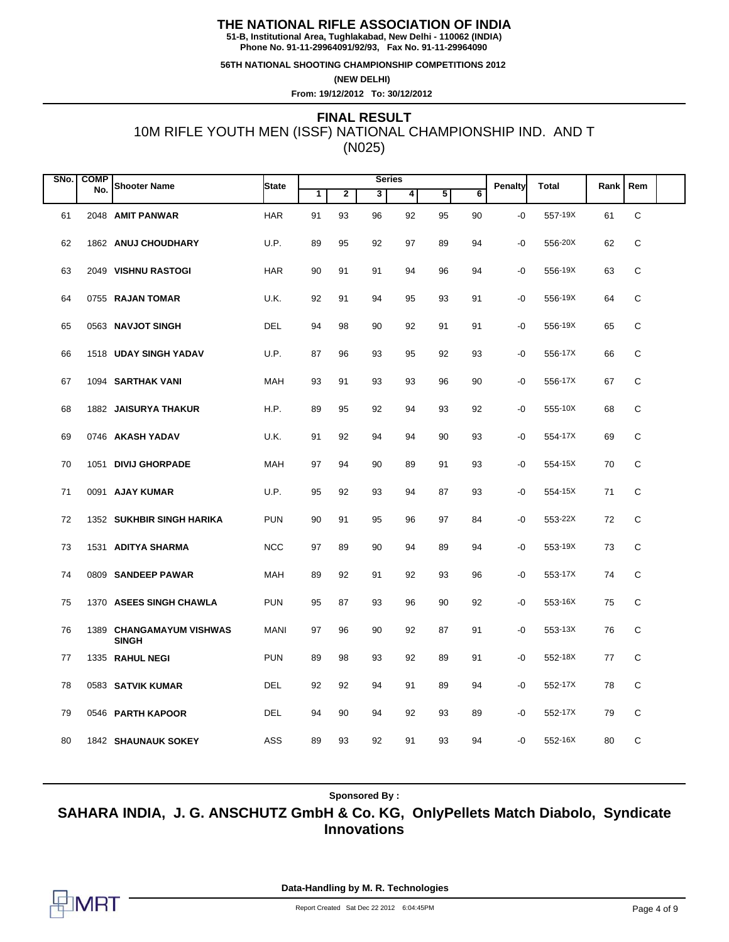**51-B, Institutional Area, Tughlakabad, New Delhi - 110062 (INDIA) Phone No. 91-11-29964091/92/93, Fax No. 91-11-29964090**

**56TH NATIONAL SHOOTING CHAMPIONSHIP COMPETITIONS 2012**

**(NEW DELHI)**

**From: 19/12/2012 To: 30/12/2012**

# 10M RIFLE YOUTH MEN (ISSF) NATIONAL CHAMPIONSHIP IND. AND T (N025) **FINAL RESULT**

| SNo. | <b>COMP</b> |                                          |             |    |    | <b>Series</b> |    |    |                 |         |              |      |     |  |
|------|-------------|------------------------------------------|-------------|----|----|---------------|----|----|-----------------|---------|--------------|------|-----|--|
|      | No.         | <b>Shooter Name</b>                      | State       | 1  | 2  | 3             | 4  | 5  | $6\overline{6}$ | Penalty | <b>Total</b> | Rank | Rem |  |
| 61   |             | 2048 AMIT PANWAR                         | <b>HAR</b>  | 91 | 93 | 96            | 92 | 95 | 90              | -0      | 557-19X      | 61   | C   |  |
| 62   |             | 1862 ANUJ CHOUDHARY                      | U.P.        | 89 | 95 | 92            | 97 | 89 | 94              | -0      | 556-20X      | 62   | C   |  |
| 63   |             | 2049 VISHNU RASTOGI                      | <b>HAR</b>  | 90 | 91 | 91            | 94 | 96 | 94              | -0      | 556-19X      | 63   | C   |  |
| 64   |             | 0755 RAJAN TOMAR                         | U.K.        | 92 | 91 | 94            | 95 | 93 | 91              | -0      | 556-19X      | 64   | C   |  |
| 65   |             | 0563 NAVJOT SINGH                        | DEL         | 94 | 98 | 90            | 92 | 91 | 91              | -0      | 556-19X      | 65   | C   |  |
| 66   |             | 1518 UDAY SINGH YADAV                    | U.P.        | 87 | 96 | 93            | 95 | 92 | 93              | -0      | 556-17X      | 66   | C   |  |
| 67   |             | 1094 SARTHAK VANI                        | MAH         | 93 | 91 | 93            | 93 | 96 | 90              | -0      | 556-17X      | 67   | C   |  |
| 68   |             | 1882 JAISURYA THAKUR                     | H.P.        | 89 | 95 | 92            | 94 | 93 | 92              | -0      | 555-10X      | 68   | C   |  |
| 69   |             | 0746 AKASH YADAV                         | U.K.        | 91 | 92 | 94            | 94 | 90 | 93              | -0      | 554-17X      | 69   | С   |  |
| 70   |             | 1051 DIVIJ GHORPADE                      | MAH         | 97 | 94 | 90            | 89 | 91 | 93              | -0      | 554-15X      | 70   | С   |  |
| 71   |             | 0091 AJAY KUMAR                          | U.P.        | 95 | 92 | 93            | 94 | 87 | 93              | -0      | 554-15X      | 71   | C   |  |
| 72   |             | 1352 SUKHBIR SINGH HARIKA                | <b>PUN</b>  | 90 | 91 | 95            | 96 | 97 | 84              | -0      | 553-22X      | 72   | C   |  |
| 73   |             | 1531 ADITYA SHARMA                       | <b>NCC</b>  | 97 | 89 | 90            | 94 | 89 | 94              | -0      | 553-19X      | 73   | C   |  |
| 74   |             | 0809 SANDEEP PAWAR                       | MAH         | 89 | 92 | 91            | 92 | 93 | 96              | -0      | 553-17X      | 74   | С   |  |
| 75   |             | 1370 ASEES SINGH CHAWLA                  | <b>PUN</b>  | 95 | 87 | 93            | 96 | 90 | 92              | -0      | 553-16X      | 75   | C   |  |
| 76   |             | 1389 CHANGAMAYUM VISHWAS<br><b>SINGH</b> | <b>MANI</b> | 97 | 96 | 90            | 92 | 87 | 91              | -0      | 553-13X      | 76   | C   |  |
| 77   |             | 1335 RAHUL NEGI                          | <b>PUN</b>  | 89 | 98 | 93            | 92 | 89 | 91              | -0      | 552-18X      | 77   | C   |  |
| 78   |             | 0583 SATVIK KUMAR                        | DEL         | 92 | 92 | 94            | 91 | 89 | 94              | -0      | 552-17X      | 78   | C   |  |
| 79   |             | 0546 PARTH KAPOOR                        | <b>DEL</b>  | 94 | 90 | 94            | 92 | 93 | 89              | -0      | 552-17X      | 79   | С   |  |
| 80   |             | 1842 SHAUNAUK SOKEY                      | ASS         | 89 | 93 | 92            | 91 | 93 | 94              | -0      | 552-16X      | 80   | C   |  |

**Sponsored By :**

**SAHARA INDIA, J. G. ANSCHUTZ GmbH & Co. KG, OnlyPellets Match Diabolo, Syndicate Innovations**

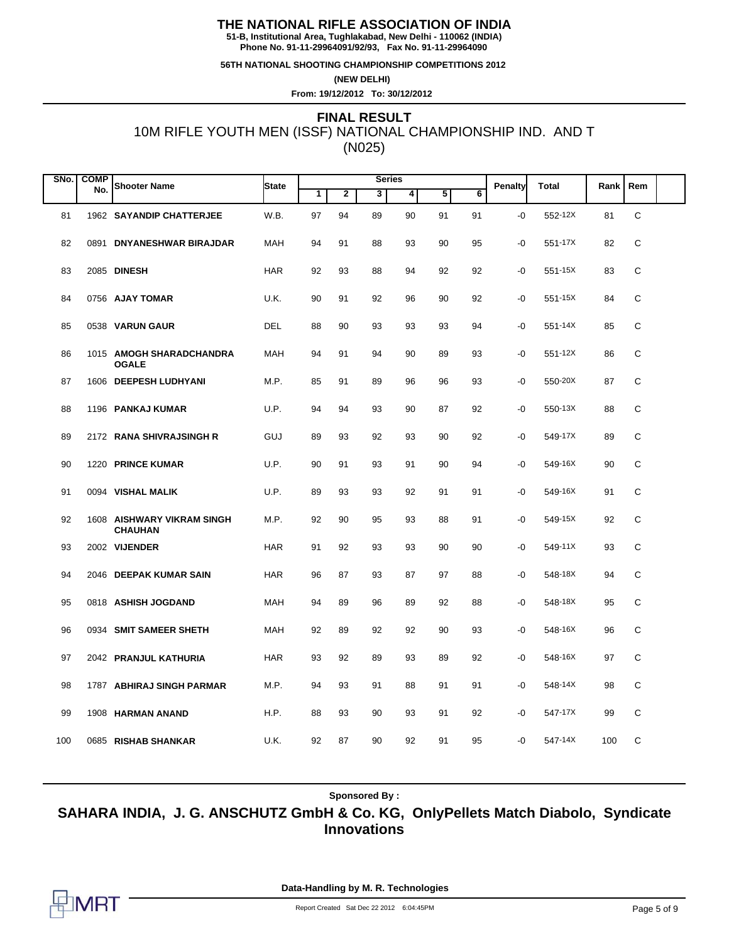**51-B, Institutional Area, Tughlakabad, New Delhi - 110062 (INDIA) Phone No. 91-11-29964091/92/93, Fax No. 91-11-29964090**

**56TH NATIONAL SHOOTING CHAMPIONSHIP COMPETITIONS 2012**

**(NEW DELHI)**

**From: 19/12/2012 To: 30/12/2012**

# 10M RIFLE YOUTH MEN (ISSF) NATIONAL CHAMPIONSHIP IND. AND T (N025) **FINAL RESULT**

| SNo. | <b>COMP</b> |                                              |            |    |    | <b>Series</b> |    |    |    |                |              |      |     |  |
|------|-------------|----------------------------------------------|------------|----|----|---------------|----|----|----|----------------|--------------|------|-----|--|
|      | No.         | <b>Shooter Name</b>                          | State      | 1  | 2  | 3             | 4  | 5  | 6  | <b>Penalty</b> | <b>Total</b> | Rank | Rem |  |
| 81   |             | 1962 SAYANDIP CHATTERJEE                     | W.B.       | 97 | 94 | 89            | 90 | 91 | 91 | -0             | 552-12X      | 81   | C   |  |
| 82   |             | 0891 DNYANESHWAR BIRAJDAR                    | <b>MAH</b> | 94 | 91 | 88            | 93 | 90 | 95 | -0             | 551-17X      | 82   | C   |  |
| 83   |             | 2085 DINESH                                  | <b>HAR</b> | 92 | 93 | 88            | 94 | 92 | 92 | -0             | 551-15X      | 83   | C   |  |
| 84   |             | 0756 AJAY TOMAR                              | U.K.       | 90 | 91 | 92            | 96 | 90 | 92 | -0             | 551-15X      | 84   | C   |  |
| 85   |             | 0538 VARUN GAUR                              | <b>DEL</b> | 88 | 90 | 93            | 93 | 93 | 94 | -0             | 551-14X      | 85   | C   |  |
| 86   |             | 1015 AMOGH SHARADCHANDRA<br><b>OGALE</b>     | MAH        | 94 | 91 | 94            | 90 | 89 | 93 | -0             | 551-12X      | 86   | C   |  |
| 87   |             | 1606 DEEPESH LUDHYANI                        | M.P.       | 85 | 91 | 89            | 96 | 96 | 93 | -0             | 550-20X      | 87   | C   |  |
| 88   |             | 1196 PANKAJ KUMAR                            | U.P.       | 94 | 94 | 93            | 90 | 87 | 92 | -0             | 550-13X      | 88   | C   |  |
| 89   |             | 2172 RANA SHIVRAJSINGH R                     | GUJ        | 89 | 93 | 92            | 93 | 90 | 92 | -0             | 549-17X      | 89   | C   |  |
| 90   |             | 1220 PRINCE KUMAR                            | U.P.       | 90 | 91 | 93            | 91 | 90 | 94 | -0             | 549-16X      | 90   | С   |  |
| 91   |             | 0094 VISHAL MALIK                            | U.P.       | 89 | 93 | 93            | 92 | 91 | 91 | -0             | 549-16X      | 91   | C   |  |
| 92   |             | 1608 AISHWARY VIKRAM SINGH<br><b>CHAUHAN</b> | M.P.       | 92 | 90 | 95            | 93 | 88 | 91 | -0             | 549-15X      | 92   | C   |  |
| 93   |             | 2002 VIJENDER                                | <b>HAR</b> | 91 | 92 | 93            | 93 | 90 | 90 | -0             | 549-11X      | 93   | C   |  |
| 94   |             | 2046 DEEPAK KUMAR SAIN                       | <b>HAR</b> | 96 | 87 | 93            | 87 | 97 | 88 | -0             | 548-18X      | 94   | C   |  |
| 95   |             | 0818 ASHISH JOGDAND                          | <b>MAH</b> | 94 | 89 | 96            | 89 | 92 | 88 | -0             | 548-18X      | 95   | C   |  |
| 96   |             | 0934 SMIT SAMEER SHETH                       | MAH        | 92 | 89 | 92            | 92 | 90 | 93 | -0             | 548-16X      | 96   | C   |  |
| 97   |             | 2042 PRANJUL KATHURIA                        | <b>HAR</b> | 93 | 92 | 89            | 93 | 89 | 92 | -0             | 548-16X      | 97   | С   |  |
| 98   |             | 1787 ABHIRAJ SINGH PARMAR                    | M.P.       | 94 | 93 | 91            | 88 | 91 | 91 | -0             | 548-14X      | 98   | C   |  |
| 99   |             | 1908 HARMAN ANAND                            | H.P.       | 88 | 93 | 90            | 93 | 91 | 92 | -0             | 547-17X      | 99   | С   |  |
| 100  |             | 0685 RISHAB SHANKAR                          | U.K.       | 92 | 87 | 90            | 92 | 91 | 95 | -0             | 547-14X      | 100  | C   |  |

**Sponsored By :**

**SAHARA INDIA, J. G. ANSCHUTZ GmbH & Co. KG, OnlyPellets Match Diabolo, Syndicate Innovations**

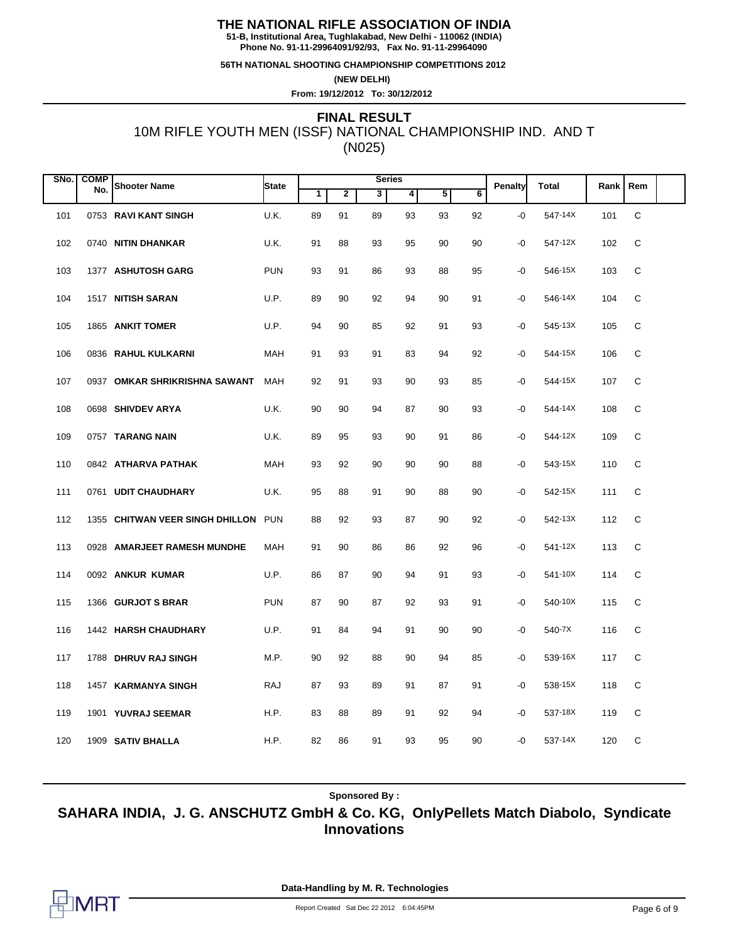**51-B, Institutional Area, Tughlakabad, New Delhi - 110062 (INDIA) Phone No. 91-11-29964091/92/93, Fax No. 91-11-29964090**

**56TH NATIONAL SHOOTING CHAMPIONSHIP COMPETITIONS 2012**

**(NEW DELHI)**

**From: 19/12/2012 To: 30/12/2012**

# 10M RIFLE YOUTH MEN (ISSF) NATIONAL CHAMPIONSHIP IND. AND T (N025) **FINAL RESULT**

| SNo. | <b>COMP</b> | <b>Shooter Name</b>             | <b>State</b> |    |                | <b>Series</b> |    |    |                | Penalty | <b>Total</b> | Rank | Rem |  |
|------|-------------|---------------------------------|--------------|----|----------------|---------------|----|----|----------------|---------|--------------|------|-----|--|
|      | No.         |                                 |              | 1  | $\overline{2}$ | 3             | 4  | 5  | $\overline{6}$ |         |              |      |     |  |
| 101  |             | 0753 RAVI KANT SINGH            | U.K.         | 89 | 91             | 89            | 93 | 93 | 92             | $-0$    | 547-14X      | 101  | C   |  |
| 102  |             | 0740 NITIN DHANKAR              | U.K.         | 91 | 88             | 93            | 95 | 90 | 90             | -0      | 547-12X      | 102  | C   |  |
| 103  |             | 1377 ASHUTOSH GARG              | <b>PUN</b>   | 93 | 91             | 86            | 93 | 88 | 95             | -0      | 546-15X      | 103  | C   |  |
| 104  |             | 1517 NITISH SARAN               | U.P.         | 89 | 90             | 92            | 94 | 90 | 91             | -0      | 546-14X      | 104  | C   |  |
| 105  |             | 1865 ANKIT TOMER                | U.P.         | 94 | 90             | 85            | 92 | 91 | 93             | -0      | 545-13X      | 105  | С   |  |
| 106  |             | 0836 RAHUL KULKARNI             | MAH          | 91 | 93             | 91            | 83 | 94 | 92             | $-0$    | 544-15X      | 106  | C   |  |
| 107  |             | 0937 OMKAR SHRIKRISHNA SAWANT   | <b>MAH</b>   | 92 | 91             | 93            | 90 | 93 | 85             | -0      | 544-15X      | 107  | C   |  |
| 108  |             | 0698 SHIVDEV ARYA               | U.K.         | 90 | 90             | 94            | 87 | 90 | 93             | $-0$    | 544-14X      | 108  | C   |  |
| 109  |             | 0757 TARANG NAIN                | U.K.         | 89 | 95             | 93            | 90 | 91 | 86             | -0      | 544-12X      | 109  | C   |  |
| 110  |             | 0842 ATHARVA PATHAK             | <b>MAH</b>   | 93 | 92             | 90            | 90 | 90 | 88             | -0      | 543-15X      | 110  | C   |  |
| 111  |             | 0761 UDIT CHAUDHARY             | U.K.         | 95 | 88             | 91            | 90 | 88 | 90             | -0      | 542-15X      | 111  | C   |  |
| 112  |             | 1355 CHITWAN VEER SINGH DHILLON | <b>PUN</b>   | 88 | 92             | 93            | 87 | 90 | 92             | -0      | 542-13X      | 112  | C   |  |
| 113  |             | 0928 AMARJEET RAMESH MUNDHE     | MAH          | 91 | 90             | 86            | 86 | 92 | 96             | -0      | 541-12X      | 113  | C   |  |
| 114  |             | 0092 ANKUR KUMAR                | U.P.         | 86 | 87             | 90            | 94 | 91 | 93             | -0      | 541-10X      | 114  | C   |  |
| 115  |             | 1366 GURJOT S BRAR              | <b>PUN</b>   | 87 | 90             | 87            | 92 | 93 | 91             | $-0$    | 540-10X      | 115  | C   |  |
| 116  |             | 1442 HARSH CHAUDHARY            | U.P.         | 91 | 84             | 94            | 91 | 90 | 90             | -0      | 540-7X       | 116  | C   |  |
| 117  |             | 1788 DHRUV RAJ SINGH            | M.P.         | 90 | 92             | 88            | 90 | 94 | 85             | $-0$    | 539-16X      | 117  | C   |  |
| 118  |             | 1457 KARMANYA SINGH             | RAJ          | 87 | 93             | 89            | 91 | 87 | 91             | -0      | 538-15X      | 118  | C   |  |
| 119  |             | 1901 YUVRAJ SEEMAR              | H.P.         | 83 | 88             | 89            | 91 | 92 | 94             | $-0$    | 537-18X      | 119  | С   |  |
| 120  |             | 1909 SATIV BHALLA               | H.P.         | 82 | 86             | 91            | 93 | 95 | 90             | -0      | 537-14X      | 120  | C   |  |

**Sponsored By :**

**SAHARA INDIA, J. G. ANSCHUTZ GmbH & Co. KG, OnlyPellets Match Diabolo, Syndicate Innovations**

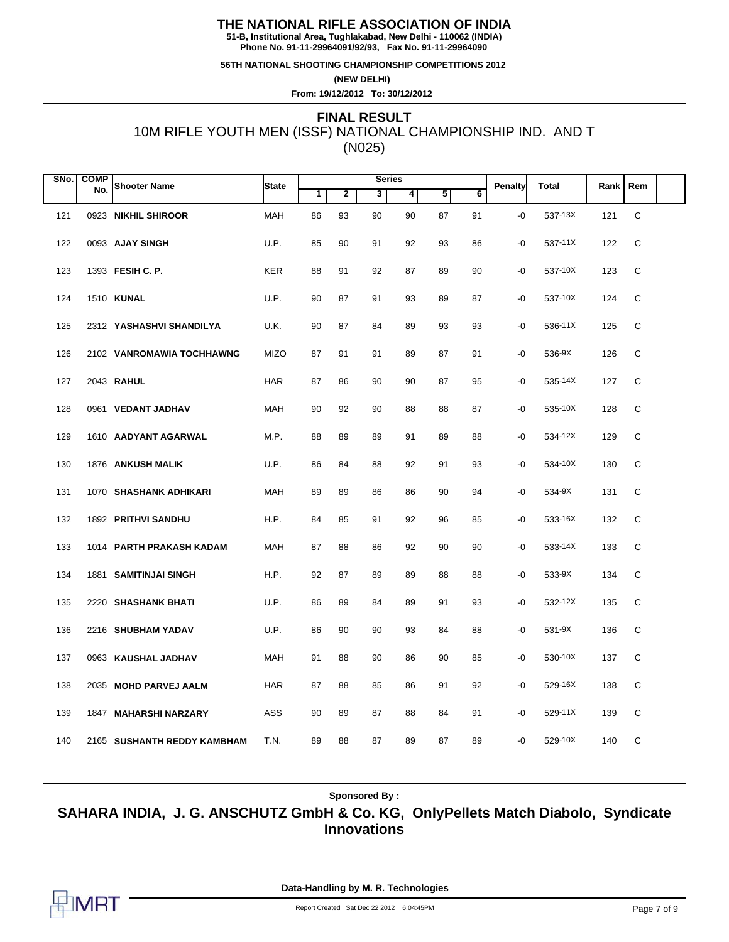**51-B, Institutional Area, Tughlakabad, New Delhi - 110062 (INDIA) Phone No. 91-11-29964091/92/93, Fax No. 91-11-29964090**

**56TH NATIONAL SHOOTING CHAMPIONSHIP COMPETITIONS 2012**

**(NEW DELHI)**

**From: 19/12/2012 To: 30/12/2012**

# 10M RIFLE YOUTH MEN (ISSF) NATIONAL CHAMPIONSHIP IND. AND T (N025) **FINAL RESULT**

| SNo. | <b>COMP</b> |                             |             |    |                | <b>Series</b> |    |    |                |         | <b>Total</b> |      | Rem         |  |
|------|-------------|-----------------------------|-------------|----|----------------|---------------|----|----|----------------|---------|--------------|------|-------------|--|
|      | No.         | <b>Shooter Name</b>         | State       | 1  | $\overline{2}$ | 3             | 4  | 5  | $\overline{6}$ | Penalty |              | Rank |             |  |
| 121  |             | 0923 NIKHIL SHIROOR         | <b>MAH</b>  | 86 | 93             | 90            | 90 | 87 | 91             | $-0$    | 537-13X      | 121  | $\mathsf C$ |  |
| 122  |             | 0093 AJAY SINGH             | U.P.        | 85 | 90             | 91            | 92 | 93 | 86             | -0      | 537-11X      | 122  | C           |  |
| 123  |             | 1393 FESIH C. P.            | <b>KER</b>  | 88 | 91             | 92            | 87 | 89 | 90             | $-0$    | 537-10X      | 123  | C           |  |
| 124  |             | 1510 <b>KUNAL</b>           | U.P.        | 90 | 87             | 91            | 93 | 89 | 87             | $-0$    | 537-10X      | 124  | C           |  |
| 125  |             | 2312 YASHASHVI SHANDILYA    | U.K.        | 90 | 87             | 84            | 89 | 93 | 93             | -0      | 536-11X      | 125  | C           |  |
| 126  |             | 2102 VANROMAWIA TOCHHAWNG   | <b>MIZO</b> | 87 | 91             | 91            | 89 | 87 | 91             | -0      | 536-9X       | 126  | C           |  |
| 127  |             | 2043 RAHUL                  | <b>HAR</b>  | 87 | 86             | 90            | 90 | 87 | 95             | $-0$    | 535-14X      | 127  | C           |  |
| 128  |             | 0961 VEDANT JADHAV          | <b>MAH</b>  | 90 | 92             | 90            | 88 | 88 | 87             | $-0$    | 535-10X      | 128  | C           |  |
| 129  |             | 1610 AADYANT AGARWAL        | M.P.        | 88 | 89             | 89            | 91 | 89 | 88             | -0      | 534-12X      | 129  | С           |  |
| 130  |             | 1876 ANKUSH MALIK           | U.P.        | 86 | 84             | 88            | 92 | 91 | 93             | -0      | 534-10X      | 130  | C           |  |
| 131  |             | 1070 SHASHANK ADHIKARI      | MAH         | 89 | 89             | 86            | 86 | 90 | 94             | -0      | 534-9X       | 131  | C           |  |
| 132  |             | 1892 PRITHVI SANDHU         | H.P.        | 84 | 85             | 91            | 92 | 96 | 85             | $-0$    | 533-16X      | 132  | C           |  |
| 133  |             | 1014 PARTH PRAKASH KADAM    | MAH         | 87 | 88             | 86            | 92 | 90 | 90             | -0      | 533-14X      | 133  | C           |  |
| 134  |             | 1881 SAMITINJAI SINGH       | H.P.        | 92 | 87             | 89            | 89 | 88 | 88             | -0      | 533-9X       | 134  | C           |  |
| 135  |             | 2220 SHASHANK BHATI         | U.P.        | 86 | 89             | 84            | 89 | 91 | 93             | -0      | 532-12X      | 135  | C           |  |
| 136  |             | 2216 SHUBHAM YADAV          | U.P.        | 86 | 90             | 90            | 93 | 84 | 88             | $-0$    | 531-9X       | 136  | C           |  |
| 137  |             | 0963 KAUSHAL JADHAV         | MAH         | 91 | 88             | 90            | 86 | 90 | 85             | -0      | 530-10X      | 137  | C           |  |
| 138  |             | 2035 MOHD PARVEJ AALM       | <b>HAR</b>  | 87 | 88             | 85            | 86 | 91 | 92             | -0      | 529-16X      | 138  | С           |  |
| 139  |             | 1847 MAHARSHI NARZARY       | ASS         | 90 | 89             | 87            | 88 | 84 | 91             | -0      | 529-11X      | 139  | С           |  |
| 140  |             | 2165 SUSHANTH REDDY KAMBHAM | T.N.        | 89 | 88             | 87            | 89 | 87 | 89             | -0      | 529-10X      | 140  | C           |  |

**Sponsored By :**

**SAHARA INDIA, J. G. ANSCHUTZ GmbH & Co. KG, OnlyPellets Match Diabolo, Syndicate Innovations**

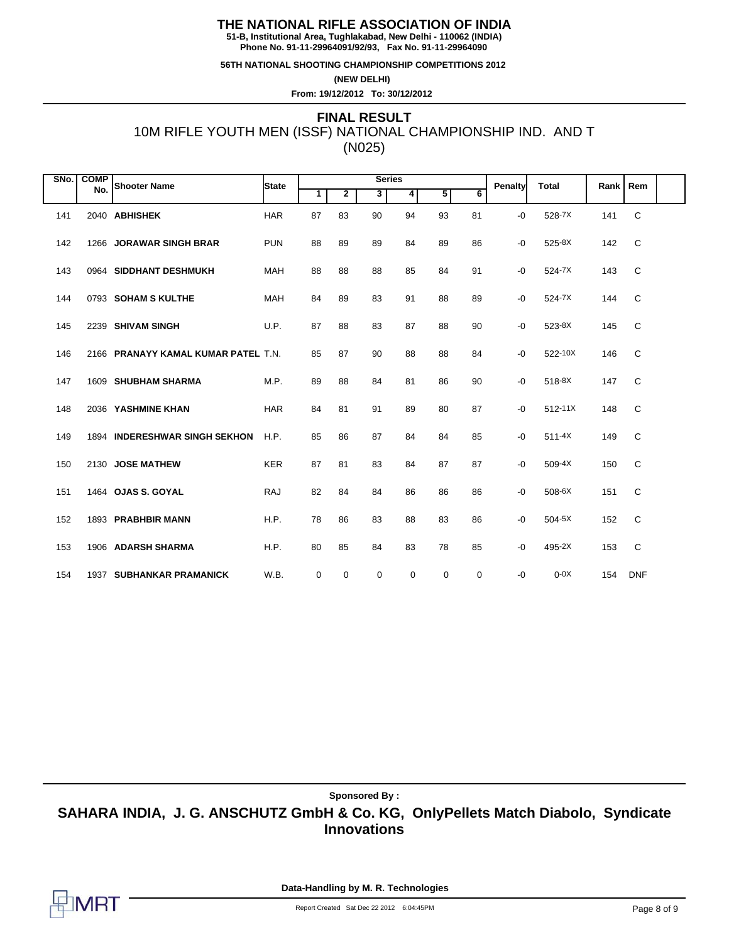**51-B, Institutional Area, Tughlakabad, New Delhi - 110062 (INDIA) Phone No. 91-11-29964091/92/93, Fax No. 91-11-29964090**

**56TH NATIONAL SHOOTING CHAMPIONSHIP COMPETITIONS 2012**

**(NEW DELHI)**

**From: 19/12/2012 To: 30/12/2012**

# 10M RIFLE YOUTH MEN (ISSF) NATIONAL CHAMPIONSHIP IND. AND T (N025) **FINAL RESULT**

| SNo. | <b>COMP</b> | No. Shooter Name                    | <b>State</b> | <b>Series</b> |              |    |    |             | <b>Penalty</b> | <b>Total</b> | Rank        | Rem |              |  |
|------|-------------|-------------------------------------|--------------|---------------|--------------|----|----|-------------|----------------|--------------|-------------|-----|--------------|--|
|      |             |                                     |              | $\mathbf 1$   | $\mathbf{2}$ | 3  | 4  | 5           | 6              |              |             |     |              |  |
| 141  |             | 2040 ABHISHEK                       | <b>HAR</b>   | 87            | 83           | 90 | 94 | 93          | 81             | $-0$         | 528-7X      | 141 | $\mathsf C$  |  |
| 142  |             | 1266 JORAWAR SINGH BRAR             | <b>PUN</b>   | 88            | 89           | 89 | 84 | 89          | 86             | -0           | 525-8X      | 142 | C            |  |
| 143  |             | 0964 SIDDHANT DESHMUKH              | <b>MAH</b>   | 88            | 88           | 88 | 85 | 84          | 91             | -0           | 524-7X      | 143 | C            |  |
| 144  |             | 0793 SOHAM S KULTHE                 | <b>MAH</b>   | 84            | 89           | 83 | 91 | 88          | 89             | -0           | 524-7X      | 144 | $\mathsf C$  |  |
| 145  |             | 2239 SHIVAM SINGH                   | U.P.         | 87            | 88           | 83 | 87 | 88          | 90             | -0           | 523-8X      | 145 | C            |  |
| 146  |             | 2166 PRANAYY KAMAL KUMAR PATEL T.N. |              | 85            | 87           | 90 | 88 | 88          | 84             | -0           | 522-10X     | 146 | C            |  |
| 147  |             | 1609 SHUBHAM SHARMA                 | M.P.         | 89            | 88           | 84 | 81 | 86          | 90             | $-0$         | 518-8X      | 147 | C            |  |
| 148  |             | 2036 YASHMINE KHAN                  | <b>HAR</b>   | 84            | 81           | 91 | 89 | 80          | 87             | -0           | $512 - 11X$ | 148 | C            |  |
| 149  |             | 1894 INDERESHWAR SINGH SEKHON       | H.P.         | 85            | 86           | 87 | 84 | 84          | 85             | $-0$         | $511 - 4X$  | 149 | $\mathsf{C}$ |  |
| 150  |             | 2130 JOSE MATHEW                    | <b>KER</b>   | 87            | 81           | 83 | 84 | 87          | 87             | -0           | 509-4X      | 150 | C            |  |
| 151  |             | 1464 OJAS S. GOYAL                  | <b>RAJ</b>   | 82            | 84           | 84 | 86 | 86          | 86             | -0           | 508-6X      | 151 | C            |  |
| 152  |             | 1893 PRABHBIR MANN                  | H.P.         | 78            | 86           | 83 | 88 | 83          | 86             | -0           | $504-5X$    | 152 | C            |  |
| 153  |             | 1906 ADARSH SHARMA                  | H.P.         | 80            | 85           | 84 | 83 | 78          | 85             | -0           | 495-2X      | 153 | C            |  |
| 154  |             | 1937 SUBHANKAR PRAMANICK            | W.B.         | 0             | 0            | 0  | 0  | $\mathbf 0$ | $\mathbf 0$    | -0           | $0-0X$      | 154 | <b>DNF</b>   |  |

**Sponsored By :**

**SAHARA INDIA, J. G. ANSCHUTZ GmbH & Co. KG, OnlyPellets Match Diabolo, Syndicate Innovations**